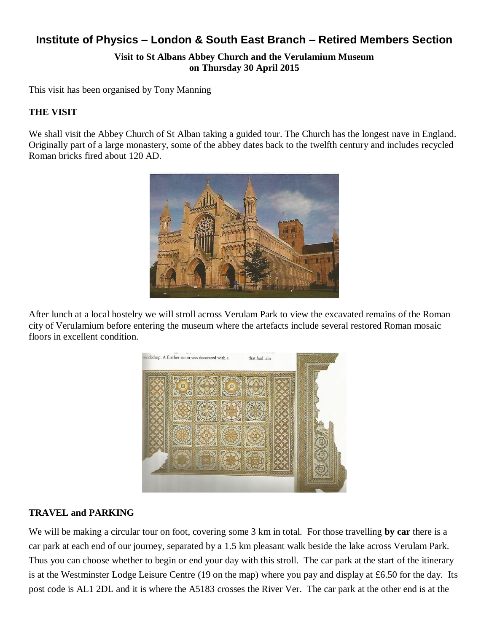# **Institute of Physics – London & South East Branch – Retired Members Section**

**Visit to St Albans Abbey Church and the Verulamium Museum on Thursday 30 April 2015**

This visit has been organised by Tony Manning

### **THE VISIT**

We shall visit the Abbey Church of St Alban taking a guided tour. The Church has the longest nave in England. Originally part of a large monastery, some of the abbey dates back to the twelfth century and includes recycled Roman bricks fired about 120 AD.



After lunch at a local hostelry we will stroll across Verulam Park to view the excavated remains of the Roman city of Verulamium before entering the museum where the artefacts include several restored Roman mosaic floors in excellent condition.



#### **TRAVEL and PARKING**

We will be making a circular tour on foot, covering some 3 km in total. For those travelling **by car** there is a car park at each end of our journey, separated by a 1.5 km pleasant walk beside the lake across Verulam Park. Thus you can choose whether to begin or end your day with this stroll. The car park at the start of the itinerary is at the Westminster Lodge Leisure Centre (19 on the map) where you pay and display at £6.50 for the day. Its post code is AL1 2DL and it is where the A5183 crosses the River Ver. The car park at the other end is at the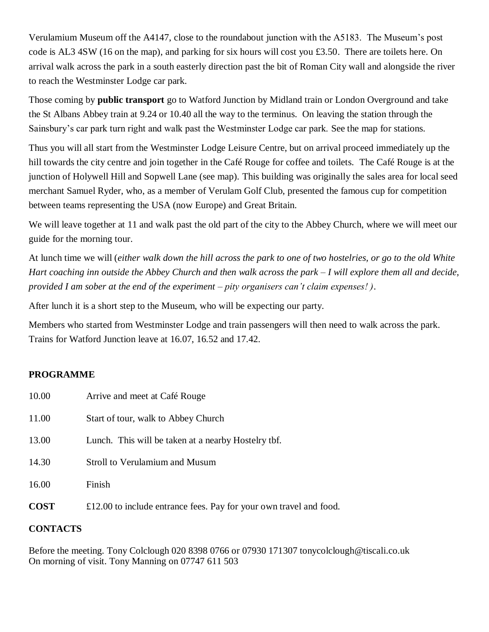Verulamium Museum off the A4147, close to the roundabout junction with the A5183. The Museum's post code is AL3 4SW (16 on the map), and parking for six hours will cost you £3.50. There are toilets here. On arrival walk across the park in a south easterly direction past the bit of Roman City wall and alongside the river to reach the Westminster Lodge car park.

Those coming by **public transport** go to Watford Junction by Midland train or London Overground and take the St Albans Abbey train at 9.24 or 10.40 all the way to the terminus. On leaving the station through the Sainsbury's car park turn right and walk past the Westminster Lodge car park. See the map for stations.

Thus you will all start from the Westminster Lodge Leisure Centre, but on arrival proceed immediately up the hill towards the city centre and join together in the Café Rouge for coffee and toilets. The Café Rouge is at the junction of Holywell Hill and Sopwell Lane (see map). This building was originally the sales area for local seed merchant Samuel Ryder, who, as a member of Verulam Golf Club, presented the famous cup for competition between teams representing the USA (now Europe) and Great Britain.

We will leave together at 11 and walk past the old part of the city to the Abbey Church, where we will meet our guide for the morning tour.

At lunch time we will (*either walk down the hill across the park to one of two hostelries, or go to the old White Hart coaching inn outside the Abbey Church and then walk across the park – I will explore them all and decide, provided I am sober at the end of the experiment – pity organisers can't claim expenses! )*.

After lunch it is a short step to the Museum, who will be expecting our party.

Members who started from Westminster Lodge and train passengers will then need to walk across the park. Trains for Watford Junction leave at 16.07, 16.52 and 17.42.

## **PROGRAMME**

| 16.00 | Finish                                              |
|-------|-----------------------------------------------------|
| 14.30 | <b>Stroll to Verulamium and Musum</b>               |
| 13.00 | Lunch. This will be taken at a nearby Hostelry tbf. |
| 11.00 | Start of tour, walk to Abbey Church                 |
| 10.00 | Arrive and meet at Café Rouge                       |

## **CONTACTS**

Before the meeting. Tony Colclough 020 8398 0766 or 07930 171307 tonycolclough@tiscali.co.uk On morning of visit. Tony Manning on 07747 611 503